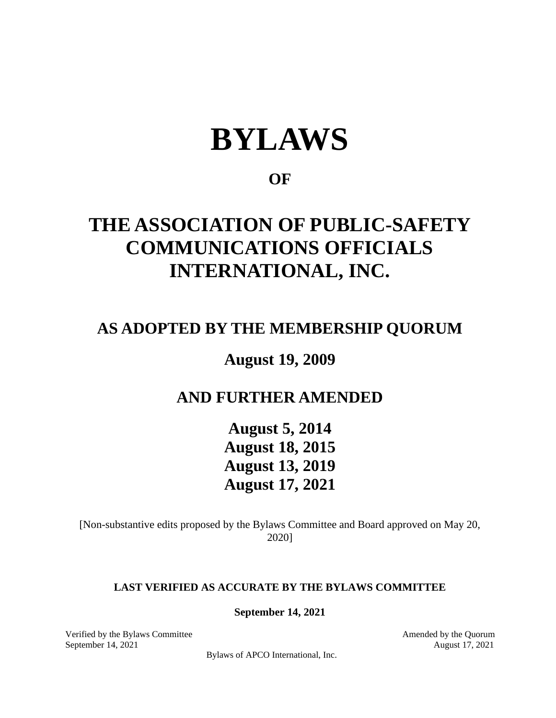# **BYLAWS**

## **OF**

# **THE ASSOCIATION OF PUBLIC-SAFETY COMMUNICATIONS OFFICIALS INTERNATIONAL, INC.**

# **AS ADOPTED BY THE MEMBERSHIP QUORUM**

**August 19, 2009**

# **AND FURTHER AMENDED**

**August 5, 2014 August 18, 2015 August 13, 2019 August 17, 2021**

[Non-substantive edits proposed by the Bylaws Committee and Board approved on May 20, 2020]

#### **LAST VERIFIED AS ACCURATE BY THE BYLAWS COMMITTEE**

**September 14, 2021**

Verified by the Bylaws Committee Amended by the Quorum Amended by the Quorum September 14, 2021 August 17, 2021

Bylaws of APCO International, Inc.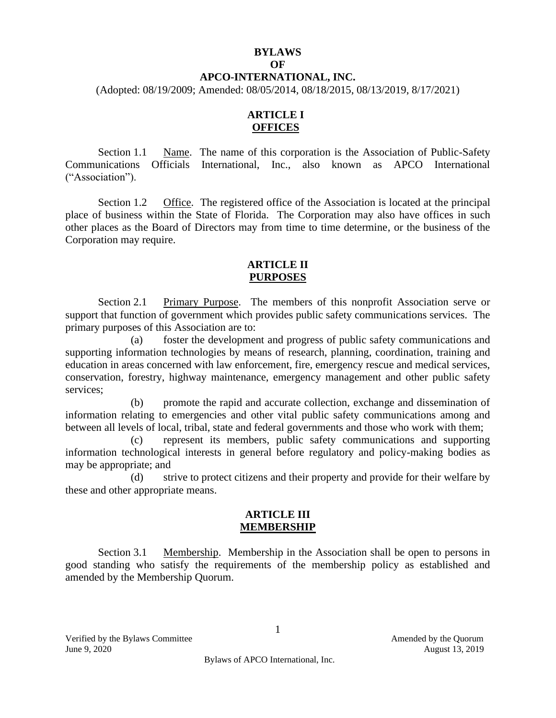### **BYLAWS**

#### **OF**

#### **APCO-INTERNATIONAL, INC.**

(Adopted: 08/19/2009; Amended: 08/05/2014, 08/18/2015, 08/13/2019, 8/17/2021)

#### **ARTICLE I OFFICES**

Section 1.1 Name. The name of this corporation is the Association of Public-Safety Communications Officials International, Inc., also known as APCO International ("Association").

Section 1.2 Office. The registered office of the Association is located at the principal place of business within the State of Florida. The Corporation may also have offices in such other places as the Board of Directors may from time to time determine, or the business of the Corporation may require.

#### **ARTICLE II PURPOSES**

Section 2.1 Primary Purpose. The members of this nonprofit Association serve or support that function of government which provides public safety communications services. The primary purposes of this Association are to:

(a) foster the development and progress of public safety communications and supporting information technologies by means of research, planning, coordination, training and education in areas concerned with law enforcement, fire, emergency rescue and medical services, conservation, forestry, highway maintenance, emergency management and other public safety services;

(b) promote the rapid and accurate collection, exchange and dissemination of information relating to emergencies and other vital public safety communications among and between all levels of local, tribal, state and federal governments and those who work with them;

(c) represent its members, public safety communications and supporting information technological interests in general before regulatory and policy-making bodies as may be appropriate; and

(d) strive to protect citizens and their property and provide for their welfare by these and other appropriate means.

#### **ARTICLE III MEMBERSHIP**

Section 3.1 Membership. Membership in the Association shall be open to persons in good standing who satisfy the requirements of the membership policy as established and amended by the Membership Quorum.

Verified by the Bylaws Committee Amended by the Quorum June 9, 2020 August 13, 2019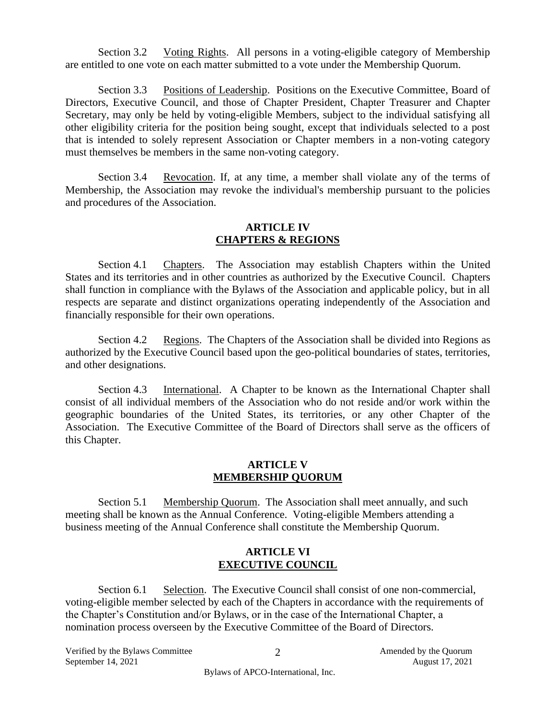Section 3.2 Voting Rights. All persons in a voting-eligible category of Membership are entitled to one vote on each matter submitted to a vote under the Membership Quorum.

Section 3.3 Positions of Leadership. Positions on the Executive Committee, Board of Directors, Executive Council, and those of Chapter President, Chapter Treasurer and Chapter Secretary, may only be held by voting-eligible Members, subject to the individual satisfying all other eligibility criteria for the position being sought, except that individuals selected to a post that is intended to solely represent Association or Chapter members in a non-voting category must themselves be members in the same non-voting category.

Section 3.4 Revocation. If, at any time, a member shall violate any of the terms of Membership, the Association may revoke the individual's membership pursuant to the policies and procedures of the Association.

#### **ARTICLE IV CHAPTERS & REGIONS**

Section 4.1 Chapters. The Association may establish Chapters within the United States and its territories and in other countries as authorized by the Executive Council. Chapters shall function in compliance with the Bylaws of the Association and applicable policy, but in all respects are separate and distinct organizations operating independently of the Association and financially responsible for their own operations.

Section 4.2 Regions. The Chapters of the Association shall be divided into Regions as authorized by the Executive Council based upon the geo-political boundaries of states, territories, and other designations.

Section 4.3 International. A Chapter to be known as the International Chapter shall consist of all individual members of the Association who do not reside and/or work within the geographic boundaries of the United States, its territories, or any other Chapter of the Association. The Executive Committee of the Board of Directors shall serve as the officers of this Chapter.

#### **ARTICLE V MEMBERSHIP QUORUM**

Section 5.1 Membership Quorum. The Association shall meet annually, and such meeting shall be known as the Annual Conference. Voting-eligible Members attending a business meeting of the Annual Conference shall constitute the Membership Quorum.

#### **ARTICLE VI EXECUTIVE COUNCIL**

Section 6.1 Selection. The Executive Council shall consist of one non-commercial, voting-eligible member selected by each of the Chapters in accordance with the requirements of the Chapter's Constitution and/or Bylaws, or in the case of the International Chapter, a nomination process overseen by the Executive Committee of the Board of Directors.

Verified by the Bylaws Committee  $\overline{2}$   $\overline{2}$  Amended by the Quorum September 14, 2021 August 17, 2021

2

Bylaws of APCO-International, Inc.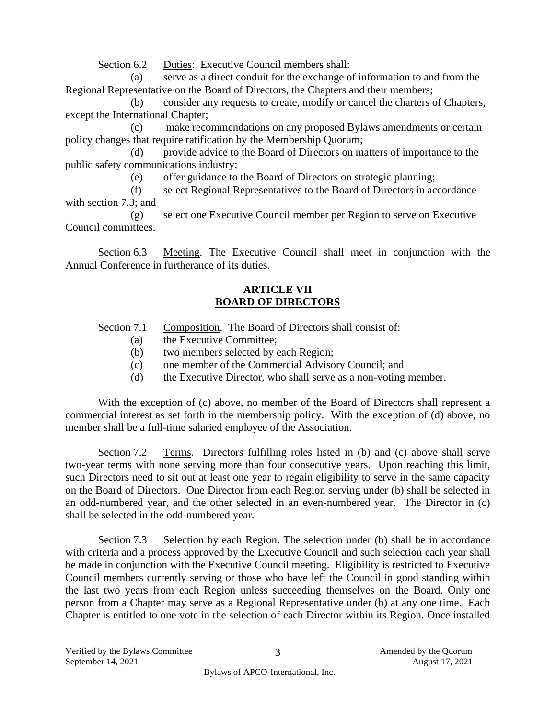Section 6.2 Duties: Executive Council members shall:

(a) serve as a direct conduit for the exchange of information to and from the Regional Representative on the Board of Directors, the Chapters and their members;

(b) consider any requests to create, modify or cancel the charters of Chapters, except the International Chapter;

(c) make recommendations on any proposed Bylaws amendments or certain policy changes that require ratification by the Membership Quorum;

(d) provide advice to the Board of Directors on matters of importance to the public safety communications industry;

(e) offer guidance to the Board of Directors on strategic planning;

(f) select Regional Representatives to the Board of Directors in accordance with section 7.3; and

(g) select one Executive Council member per Region to serve on Executive Council committees.

Section 6.3 Meeting. The Executive Council shall meet in conjunction with the Annual Conference in furtherance of its duties.

#### **ARTICLE VII BOARD OF DIRECTORS**

Section 7.1 Composition. The Board of Directors shall consist of:

- (a) the Executive Committee;
- (b) two members selected by each Region;
- (c) one member of the Commercial Advisory Council; and
- (d) the Executive Director, who shall serve as a non-voting member.

With the exception of (c) above, no member of the Board of Directors shall represent a commercial interest as set forth in the membership policy. With the exception of (d) above, no member shall be a full-time salaried employee of the Association.

Section 7.2 Terms. Directors fulfilling roles listed in (b) and (c) above shall serve two-year terms with none serving more than four consecutive years. Upon reaching this limit, such Directors need to sit out at least one year to regain eligibility to serve in the same capacity on the Board of Directors. One Director from each Region serving under (b) shall be selected in an odd-numbered year, and the other selected in an even-numbered year. The Director in (c) shall be selected in the odd-numbered year.

Section 7.3 Selection by each Region. The selection under (b) shall be in accordance with criteria and a process approved by the Executive Council and such selection each year shall be made in conjunction with the Executive Council meeting. Eligibility is restricted to Executive Council members currently serving or those who have left the Council in good standing within the last two years from each Region unless succeeding themselves on the Board. Only one person from a Chapter may serve as a Regional Representative under (b) at any one time. Each Chapter is entitled to one vote in the selection of each Director within its Region. Once installed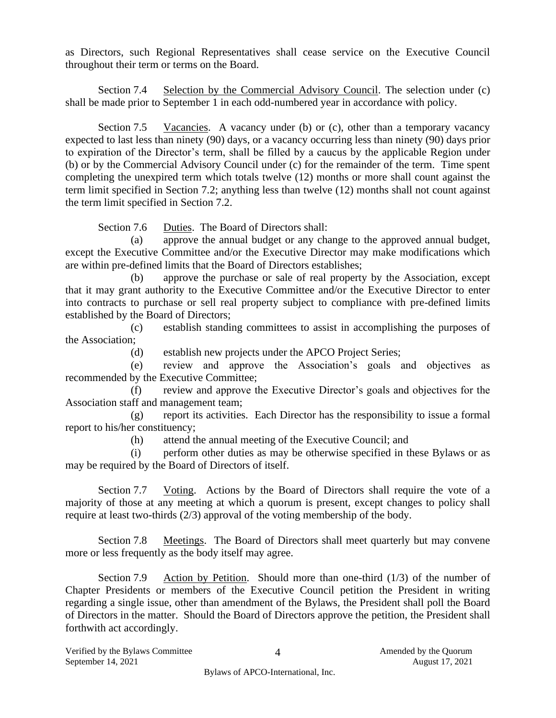as Directors, such Regional Representatives shall cease service on the Executive Council throughout their term or terms on the Board.

Section 7.4 Selection by the Commercial Advisory Council. The selection under (c) shall be made prior to September 1 in each odd-numbered year in accordance with policy.

Section 7.5 Vacancies. A vacancy under (b) or (c), other than a temporary vacancy expected to last less than ninety (90) days, or a vacancy occurring less than ninety (90) days prior to expiration of the Director's term, shall be filled by a caucus by the applicable Region under (b) or by the Commercial Advisory Council under (c) for the remainder of the term. Time spent completing the unexpired term which totals twelve (12) months or more shall count against the term limit specified in Section 7.2; anything less than twelve (12) months shall not count against the term limit specified in Section 7.2.

Section 7.6 Duties. The Board of Directors shall:

(a) approve the annual budget or any change to the approved annual budget, except the Executive Committee and/or the Executive Director may make modifications which are within pre-defined limits that the Board of Directors establishes;

(b) approve the purchase or sale of real property by the Association, except that it may grant authority to the Executive Committee and/or the Executive Director to enter into contracts to purchase or sell real property subject to compliance with pre-defined limits established by the Board of Directors;

(c) establish standing committees to assist in accomplishing the purposes of the Association;

(d) establish new projects under the APCO Project Series;

(e) review and approve the Association's goals and objectives as recommended by the Executive Committee;

(f) review and approve the Executive Director's goals and objectives for the Association staff and management team;

(g) report its activities. Each Director has the responsibility to issue a formal report to his/her constituency;

(h) attend the annual meeting of the Executive Council; and

(i) perform other duties as may be otherwise specified in these Bylaws or as may be required by the Board of Directors of itself.

Section 7.7 Voting. Actions by the Board of Directors shall require the vote of a majority of those at any meeting at which a quorum is present, except changes to policy shall require at least two-thirds (2/3) approval of the voting membership of the body.

Section 7.8 Meetings. The Board of Directors shall meet quarterly but may convene more or less frequently as the body itself may agree.

Section 7.9 Action by Petition. Should more than one-third  $(1/3)$  of the number of Chapter Presidents or members of the Executive Council petition the President in writing regarding a single issue, other than amendment of the Bylaws, the President shall poll the Board of Directors in the matter. Should the Board of Directors approve the petition, the President shall forthwith act accordingly.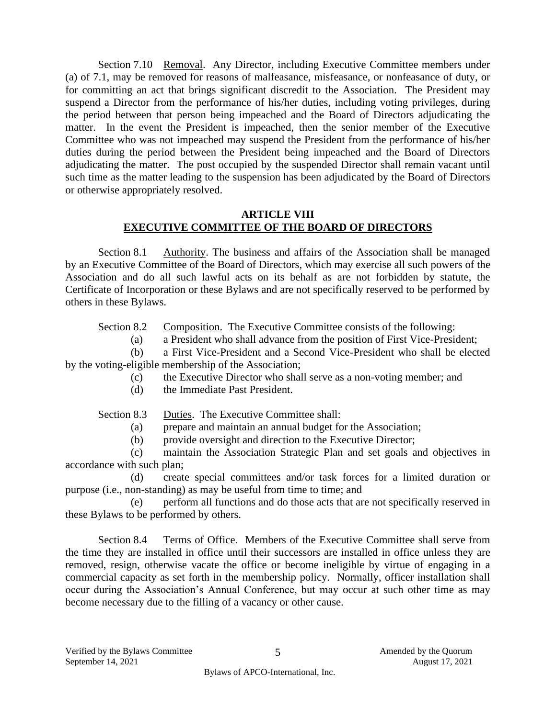Section 7.10 Removal. Any Director, including Executive Committee members under (a) of 7.1, may be removed for reasons of malfeasance, misfeasance, or nonfeasance of duty, or for committing an act that brings significant discredit to the Association. The President may suspend a Director from the performance of his/her duties, including voting privileges, during the period between that person being impeached and the Board of Directors adjudicating the matter. In the event the President is impeached, then the senior member of the Executive Committee who was not impeached may suspend the President from the performance of his/her duties during the period between the President being impeached and the Board of Directors adjudicating the matter. The post occupied by the suspended Director shall remain vacant until such time as the matter leading to the suspension has been adjudicated by the Board of Directors or otherwise appropriately resolved.

#### **ARTICLE VIII EXECUTIVE COMMITTEE OF THE BOARD OF DIRECTORS**

Section 8.1 Authority. The business and affairs of the Association shall be managed by an Executive Committee of the Board of Directors, which may exercise all such powers of the Association and do all such lawful acts on its behalf as are not forbidden by statute, the Certificate of Incorporation or these Bylaws and are not specifically reserved to be performed by others in these Bylaws.

Section 8.2 Composition. The Executive Committee consists of the following:

(a) a President who shall advance from the position of First Vice-President;

(b) a First Vice-President and a Second Vice-President who shall be elected by the voting-eligible membership of the Association;

- (c) the Executive Director who shall serve as a non-voting member; and
- (d) the Immediate Past President.

Section 8.3 Duties. The Executive Committee shall:

(a) prepare and maintain an annual budget for the Association;

(b) provide oversight and direction to the Executive Director;

(c) maintain the Association Strategic Plan and set goals and objectives in accordance with such plan;

(d) create special committees and/or task forces for a limited duration or purpose (i.e., non-standing) as may be useful from time to time; and

(e) perform all functions and do those acts that are not specifically reserved in these Bylaws to be performed by others.

Section 8.4 Terms of Office. Members of the Executive Committee shall serve from the time they are installed in office until their successors are installed in office unless they are removed, resign, otherwise vacate the office or become ineligible by virtue of engaging in a commercial capacity as set forth in the membership policy. Normally, officer installation shall occur during the Association's Annual Conference, but may occur at such other time as may become necessary due to the filling of a vacancy or other cause.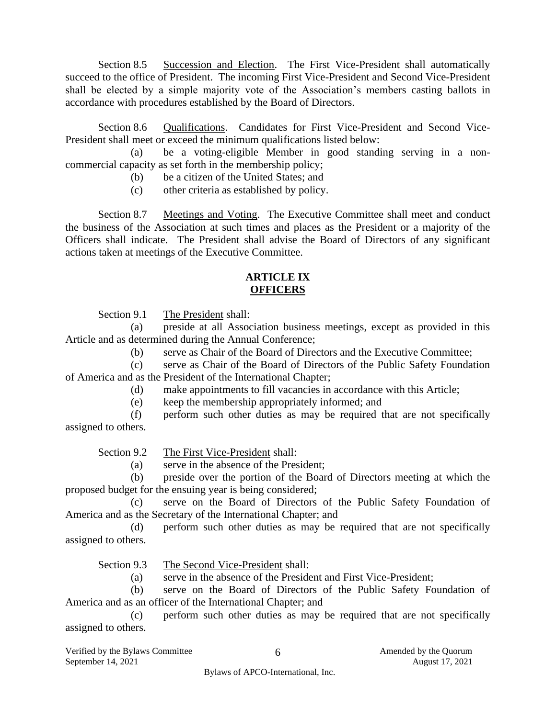Section 8.5 Succession and Election. The First Vice-President shall automatically succeed to the office of President. The incoming First Vice-President and Second Vice-President shall be elected by a simple majority vote of the Association's members casting ballots in accordance with procedures established by the Board of Directors.

Section 8.6 Qualifications. Candidates for First Vice-President and Second Vice-President shall meet or exceed the minimum qualifications listed below:

(a) be a voting-eligible Member in good standing serving in a noncommercial capacity as set forth in the membership policy;

- (b) be a citizen of the United States; and
- (c) other criteria as established by policy.

Section 8.7 Meetings and Voting. The Executive Committee shall meet and conduct the business of the Association at such times and places as the President or a majority of the Officers shall indicate. The President shall advise the Board of Directors of any significant actions taken at meetings of the Executive Committee.

#### **ARTICLE IX OFFICERS**

Section 9.1 The President shall:

(a) preside at all Association business meetings, except as provided in this Article and as determined during the Annual Conference;

(b) serve as Chair of the Board of Directors and the Executive Committee;

(c) serve as Chair of the Board of Directors of the Public Safety Foundation of America and as the President of the International Chapter;

- (d) make appointments to fill vacancies in accordance with this Article;
- (e) keep the membership appropriately informed; and
- (f) perform such other duties as may be required that are not specifically assigned to others.

Section 9.2 The First Vice-President shall:

(a) serve in the absence of the President;

(b) preside over the portion of the Board of Directors meeting at which the proposed budget for the ensuing year is being considered;

(c) serve on the Board of Directors of the Public Safety Foundation of America and as the Secretary of the International Chapter; and

(d) perform such other duties as may be required that are not specifically assigned to others.

Section 9.3 The Second Vice-President shall:

(a) serve in the absence of the President and First Vice-President;

(b) serve on the Board of Directors of the Public Safety Foundation of America and as an officer of the International Chapter; and

(c) perform such other duties as may be required that are not specifically assigned to others.

Verified by the Bylaws Committee  $\overline{6}$  6 Amended by the Quorum September 14, 2021 August 17, 2021

6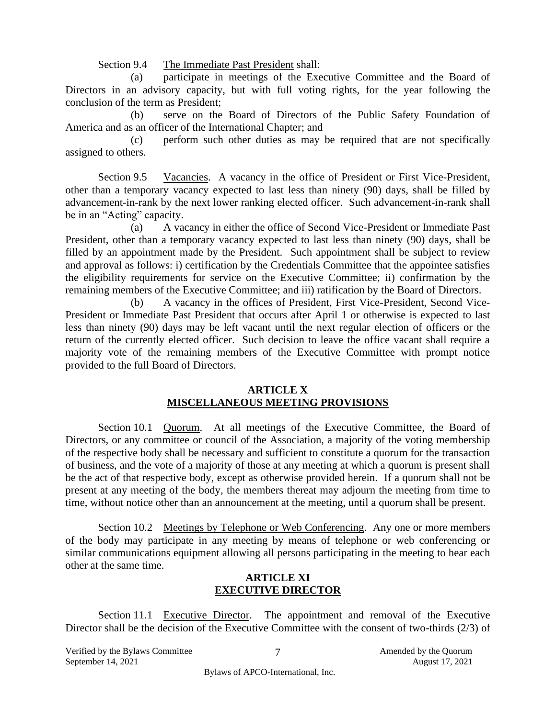Section 9.4 The Immediate Past President shall:

(a) participate in meetings of the Executive Committee and the Board of Directors in an advisory capacity, but with full voting rights, for the year following the conclusion of the term as President;

(b) serve on the Board of Directors of the Public Safety Foundation of America and as an officer of the International Chapter; and

(c) perform such other duties as may be required that are not specifically assigned to others.

Section 9.5 Vacancies. A vacancy in the office of President or First Vice-President, other than a temporary vacancy expected to last less than ninety (90) days, shall be filled by advancement-in-rank by the next lower ranking elected officer. Such advancement-in-rank shall be in an "Acting" capacity.

(a) A vacancy in either the office of Second Vice-President or Immediate Past President, other than a temporary vacancy expected to last less than ninety (90) days, shall be filled by an appointment made by the President. Such appointment shall be subject to review and approval as follows: i) certification by the Credentials Committee that the appointee satisfies the eligibility requirements for service on the Executive Committee; ii) confirmation by the remaining members of the Executive Committee; and iii) ratification by the Board of Directors.

(b) A vacancy in the offices of President, First Vice-President, Second Vice-President or Immediate Past President that occurs after April 1 or otherwise is expected to last less than ninety (90) days may be left vacant until the next regular election of officers or the return of the currently elected officer. Such decision to leave the office vacant shall require a majority vote of the remaining members of the Executive Committee with prompt notice provided to the full Board of Directors.

#### **ARTICLE X MISCELLANEOUS MEETING PROVISIONS**

Section 10.1 Quorum. At all meetings of the Executive Committee, the Board of Directors, or any committee or council of the Association, a majority of the voting membership of the respective body shall be necessary and sufficient to constitute a quorum for the transaction of business, and the vote of a majority of those at any meeting at which a quorum is present shall be the act of that respective body, except as otherwise provided herein. If a quorum shall not be present at any meeting of the body, the members thereat may adjourn the meeting from time to time, without notice other than an announcement at the meeting, until a quorum shall be present.

Section 10.2 Meetings by Telephone or Web Conferencing. Any one or more members of the body may participate in any meeting by means of telephone or web conferencing or similar communications equipment allowing all persons participating in the meeting to hear each other at the same time.

#### **ARTICLE XI EXECUTIVE DIRECTOR**

Section 11.1 Executive Director. The appointment and removal of the Executive Director shall be the decision of the Executive Committee with the consent of two-thirds (2/3) of

Verified by the Bylaws Committee  $\overline{7}$  T amended by the Quorum September 14, 2021 August 17, 2021

Bylaws of APCO-International, Inc.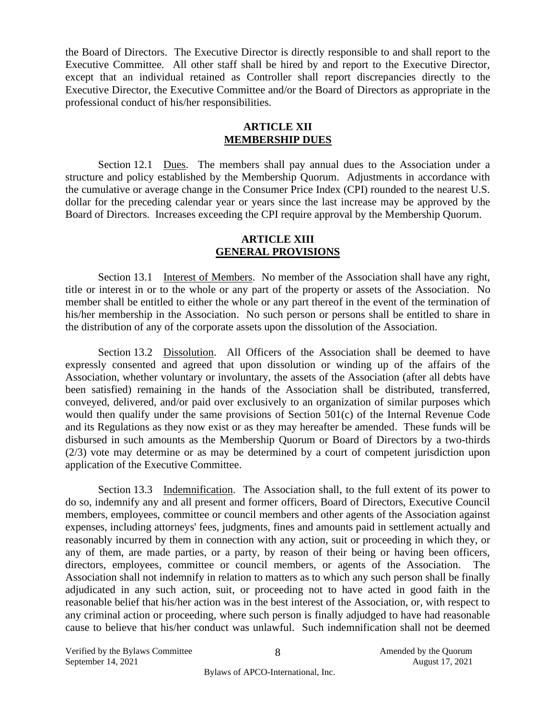the Board of Directors. The Executive Director is directly responsible to and shall report to the Executive Committee. All other staff shall be hired by and report to the Executive Director, except that an individual retained as Controller shall report discrepancies directly to the Executive Director, the Executive Committee and/or the Board of Directors as appropriate in the professional conduct of his/her responsibilities.

#### **ARTICLE XII MEMBERSHIP DUES**

Section 12.1 Dues. The members shall pay annual dues to the Association under a structure and policy established by the Membership Quorum. Adjustments in accordance with the cumulative or average change in the Consumer Price Index (CPI) rounded to the nearest U.S. dollar for the preceding calendar year or years since the last increase may be approved by the Board of Directors. Increases exceeding the CPI require approval by the Membership Quorum.

#### **ARTICLE XIII GENERAL PROVISIONS**

Section 13.1 Interest of Members. No member of the Association shall have any right, title or interest in or to the whole or any part of the property or assets of the Association. No member shall be entitled to either the whole or any part thereof in the event of the termination of his/her membership in the Association. No such person or persons shall be entitled to share in the distribution of any of the corporate assets upon the dissolution of the Association.

Section 13.2 Dissolution. All Officers of the Association shall be deemed to have expressly consented and agreed that upon dissolution or winding up of the affairs of the Association, whether voluntary or involuntary, the assets of the Association (after all debts have been satisfied) remaining in the hands of the Association shall be distributed, transferred, conveyed, delivered, and/or paid over exclusively to an organization of similar purposes which would then qualify under the same provisions of Section 501(c) of the Internal Revenue Code and its Regulations as they now exist or as they may hereafter be amended. These funds will be disbursed in such amounts as the Membership Quorum or Board of Directors by a two-thirds (2/3) vote may determine or as may be determined by a court of competent jurisdiction upon application of the Executive Committee.

Section 13.3 Indemnification. The Association shall, to the full extent of its power to do so, indemnify any and all present and former officers, Board of Directors, Executive Council members, employees, committee or council members and other agents of the Association against expenses, including attorneys' fees, judgments, fines and amounts paid in settlement actually and reasonably incurred by them in connection with any action, suit or proceeding in which they, or any of them, are made parties, or a party, by reason of their being or having been officers, directors, employees, committee or council members, or agents of the Association. The Association shall not indemnify in relation to matters as to which any such person shall be finally adjudicated in any such action, suit, or proceeding not to have acted in good faith in the reasonable belief that his/her action was in the best interest of the Association, or, with respect to any criminal action or proceeding, where such person is finally adjudged to have had reasonable cause to believe that his/her conduct was unlawful. Such indemnification shall not be deemed

Verified by the Bylaws Committee  $\overline{8}$  and  $\overline{8}$  Amended by the Quorum September 14, 2021 August 17, 2021